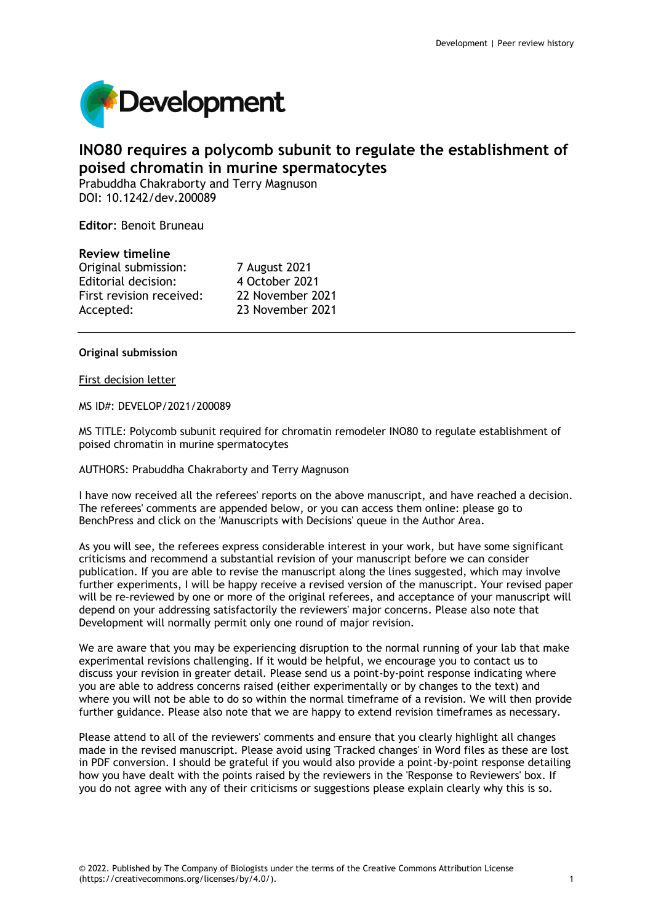

# **INO80 requires a polycomb subunit to regulate the establishment of poised chromatin in murine spermatocytes**

Prabuddha Chakraborty and Terry Magnuson DOI: 10.1242/dev.200089

**Editor**: Benoit Bruneau

### **Review timeline**

Original submission: 7 August 2021 Editorial decision: 4 October 2021 First revision received: 22 November 2021 Accepted: 23 November 2021

### **Original submission**

#### First decision letter

MS ID#: DEVELOP/2021/200089

MS TITLE: Polycomb subunit required for chromatin remodeler INO80 to regulate establishment of poised chromatin in murine spermatocytes

### AUTHORS: Prabuddha Chakraborty and Terry Magnuson

I have now received all the referees' reports on the above manuscript, and have reached a decision. The referees' comments are appended below, or you can access them online: please go to BenchPress and click on the 'Manuscripts with Decisions' queue in the Author Area.

As you will see, the referees express considerable interest in your work, but have some significant criticisms and recommend a substantial revision of your manuscript before we can consider publication. If you are able to revise the manuscript along the lines suggested, which may involve further experiments, I will be happy receive a revised version of the manuscript. Your revised paper will be re-reviewed by one or more of the original referees, and acceptance of your manuscript will depend on your addressing satisfactorily the reviewers' major concerns. Please also note that Development will normally permit only one round of major revision.

We are aware that you may be experiencing disruption to the normal running of your lab that make experimental revisions challenging. If it would be helpful, we encourage you to contact us to discuss your revision in greater detail. Please send us a point-by-point response indicating where you are able to address concerns raised (either experimentally or by changes to the text) and where you will not be able to do so within the normal timeframe of a revision. We will then provide further guidance. Please also note that we are happy to extend revision timeframes as necessary.

Please attend to all of the reviewers' comments and ensure that you clearly highlight all changes made in the revised manuscript. Please avoid using 'Tracked changes' in Word files as these are lost in PDF conversion. I should be grateful if you would also provide a point-by-point response detailing how you have dealt with the points raised by the reviewers in the 'Response to Reviewers' box. If you do not agree with any of their criticisms or suggestions please explain clearly why this is so.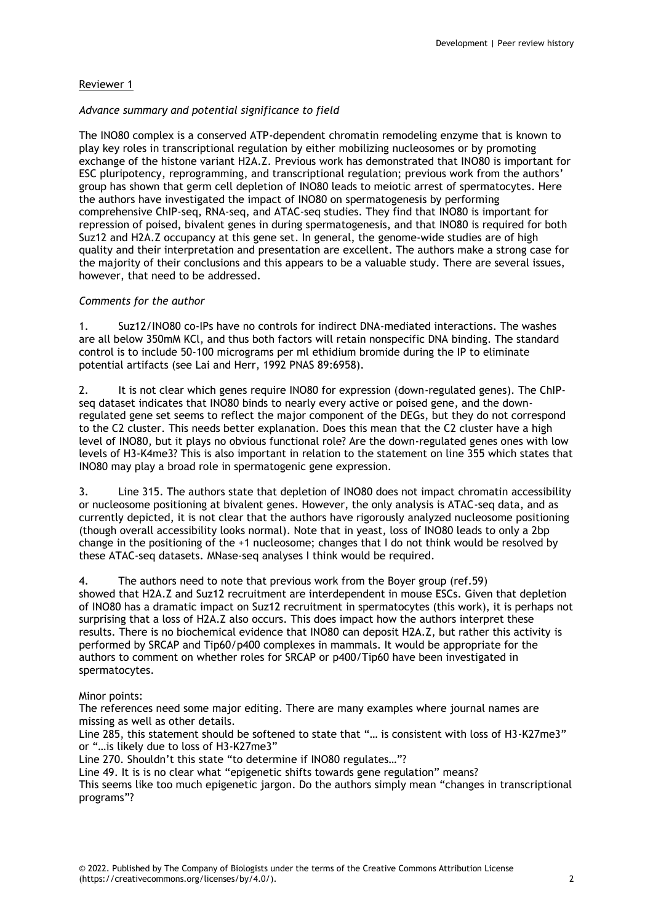# Reviewer 1

## *Advance summary and potential significance to field*

The INO80 complex is a conserved ATP-dependent chromatin remodeling enzyme that is known to play key roles in transcriptional regulation by either mobilizing nucleosomes or by promoting exchange of the histone variant H2A.Z. Previous work has demonstrated that INO80 is important for ESC pluripotency, reprogramming, and transcriptional regulation; previous work from the authors' group has shown that germ cell depletion of INO80 leads to meiotic arrest of spermatocytes. Here the authors have investigated the impact of INO80 on spermatogenesis by performing comprehensive ChIP-seq, RNA-seq, and ATAC-seq studies. They find that INO80 is important for repression of poised, bivalent genes in during spermatogenesis, and that INO80 is required for both Suz12 and H2A.Z occupancy at this gene set. In general, the genome-wide studies are of high quality and their interpretation and presentation are excellent. The authors make a strong case for the majority of their conclusions and this appears to be a valuable study. There are several issues, however, that need to be addressed.

### *Comments for the author*

1. Suz12/INO80 co-IPs have no controls for indirect DNA-mediated interactions. The washes are all below 350mM KCl, and thus both factors will retain nonspecific DNA binding. The standard control is to include 50-100 micrograms per ml ethidium bromide during the IP to eliminate potential artifacts (see Lai and Herr, 1992 PNAS 89:6958).

2. It is not clear which genes require INO80 for expression (down-regulated genes). The ChIPseq dataset indicates that INO80 binds to nearly every active or poised gene, and the downregulated gene set seems to reflect the major component of the DEGs, but they do not correspond to the C2 cluster. This needs better explanation. Does this mean that the C2 cluster have a high level of INO80, but it plays no obvious functional role? Are the down-regulated genes ones with low levels of H3-K4me3? This is also important in relation to the statement on line 355 which states that INO80 may play a broad role in spermatogenic gene expression.

3. Line 315. The authors state that depletion of INO80 does not impact chromatin accessibility or nucleosome positioning at bivalent genes. However, the only analysis is ATAC-seq data, and as currently depicted, it is not clear that the authors have rigorously analyzed nucleosome positioning (though overall accessibility looks normal). Note that in yeast, loss of INO80 leads to only a 2bp change in the positioning of the +1 nucleosome; changes that I do not think would be resolved by these ATAC-seq datasets. MNase-seq analyses I think would be required.

4. The authors need to note that previous work from the Boyer group (ref.59) showed that H2A.Z and Suz12 recruitment are interdependent in mouse ESCs. Given that depletion of INO80 has a dramatic impact on Suz12 recruitment in spermatocytes (this work), it is perhaps not surprising that a loss of H2A.Z also occurs. This does impact how the authors interpret these results. There is no biochemical evidence that INO80 can deposit H2A.Z, but rather this activity is performed by SRCAP and Tip60/p400 complexes in mammals. It would be appropriate for the authors to comment on whether roles for SRCAP or p400/Tip60 have been investigated in spermatocytes.

### Minor points:

The references need some major editing. There are many examples where journal names are missing as well as other details.

Line 285, this statement should be softened to state that "… is consistent with loss of H3-K27me3" or "…is likely due to loss of H3-K27me3"

Line 270. Shouldn't this state "to determine if INO80 regulates…"?

Line 49. It is is no clear what "epigenetic shifts towards gene regulation" means?

This seems like too much epigenetic jargon. Do the authors simply mean "changes in transcriptional programs"?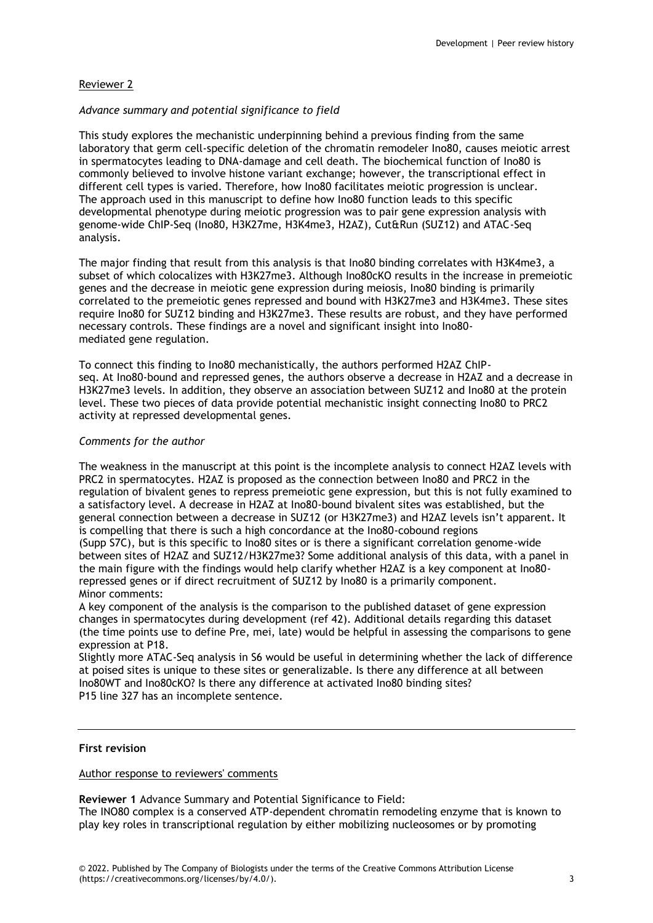### Reviewer 2

### *Advance summary and potential significance to field*

This study explores the mechanistic underpinning behind a previous finding from the same laboratory that germ cell-specific deletion of the chromatin remodeler Ino80, causes meiotic arrest in spermatocytes leading to DNA-damage and cell death. The biochemical function of Ino80 is commonly believed to involve histone variant exchange; however, the transcriptional effect in different cell types is varied. Therefore, how Ino80 facilitates meiotic progression is unclear. The approach used in this manuscript to define how Ino80 function leads to this specific developmental phenotype during meiotic progression was to pair gene expression analysis with genome-wide ChIP-Seq (Ino80, H3K27me, H3K4me3, H2AZ), Cut&Run (SUZ12) and ATAC-Seq analysis.

The major finding that result from this analysis is that Ino80 binding correlates with H3K4me3, a subset of which colocalizes with H3K27me3. Although Ino80cKO results in the increase in premeiotic genes and the decrease in meiotic gene expression during meiosis, Ino80 binding is primarily correlated to the premeiotic genes repressed and bound with H3K27me3 and H3K4me3. These sites require Ino80 for SUZ12 binding and H3K27me3. These results are robust, and they have performed necessary controls. These findings are a novel and significant insight into Ino80 mediated gene regulation.

To connect this finding to Ino80 mechanistically, the authors performed H2AZ ChIPseq. At Ino80-bound and repressed genes, the authors observe a decrease in H2AZ and a decrease in H3K27me3 levels. In addition, they observe an association between SUZ12 and Ino80 at the protein level. These two pieces of data provide potential mechanistic insight connecting Ino80 to PRC2 activity at repressed developmental genes.

### *Comments for the author*

The weakness in the manuscript at this point is the incomplete analysis to connect H2AZ levels with PRC2 in spermatocytes. H2AZ is proposed as the connection between Ino80 and PRC2 in the regulation of bivalent genes to repress premeiotic gene expression, but this is not fully examined to a satisfactory level. A decrease in H2AZ at Ino80-bound bivalent sites was established, but the general connection between a decrease in SUZ12 (or H3K27me3) and H2AZ levels isn't apparent. It is compelling that there is such a high concordance at the Ino80-cobound regions (Supp S7C), but is this specific to Ino80 sites or is there a significant correlation genome-wide between sites of H2AZ and SUZ12/H3K27me3? Some additional analysis of this data, with a panel in the main figure with the findings would help clarify whether H2AZ is a key component at Ino80 repressed genes or if direct recruitment of SUZ12 by Ino80 is a primarily component. Minor comments:

A key component of the analysis is the comparison to the published dataset of gene expression changes in spermatocytes during development (ref 42). Additional details regarding this dataset (the time points use to define Pre, mei, late) would be helpful in assessing the comparisons to gene expression at P18.

Slightly more ATAC-Seq analysis in S6 would be useful in determining whether the lack of difference at poised sites is unique to these sites or generalizable. Is there any difference at all between Ino80WT and Ino80cKO? Is there any difference at activated Ino80 binding sites? P15 line 327 has an incomplete sentence.

### **First revision**

### Author response to reviewers' comments

**Reviewer 1** Advance Summary and Potential Significance to Field:

The INO80 complex is a conserved ATP-dependent chromatin remodeling enzyme that is known to play key roles in transcriptional regulation by either mobilizing nucleosomes or by promoting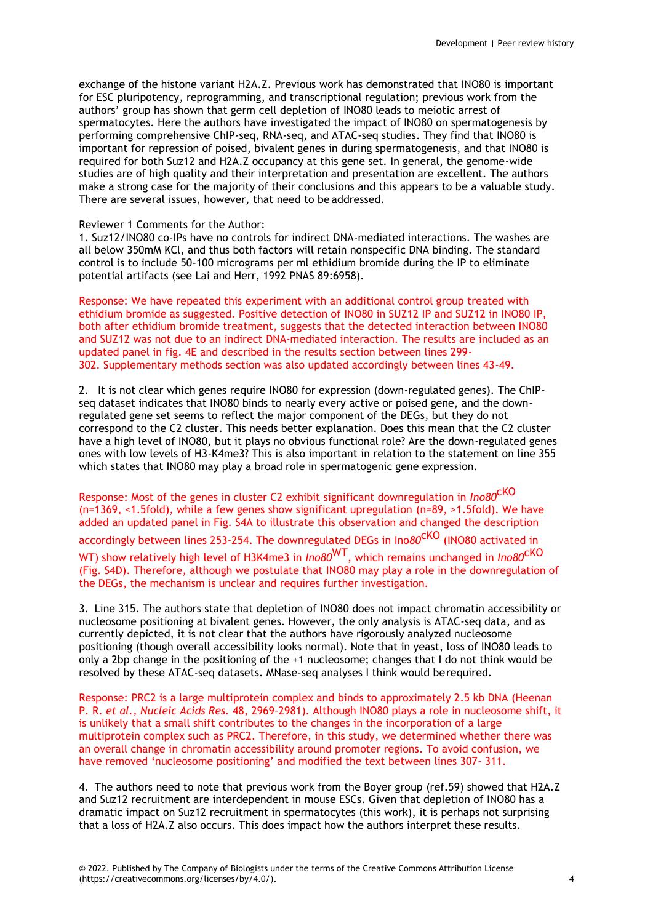exchange of the histone variant H2A.Z. Previous work has demonstrated that INO80 is important for ESC pluripotency, reprogramming, and transcriptional regulation; previous work from the authors' group has shown that germ cell depletion of INO80 leads to meiotic arrest of spermatocytes. Here the authors have investigated the impact of INO80 on spermatogenesis by performing comprehensive ChIP-seq, RNA-seq, and ATAC-seq studies. They find that INO80 is important for repression of poised, bivalent genes in during spermatogenesis, and that INO80 is required for both Suz12 and H2A.Z occupancy at this gene set. In general, the genome-wide studies are of high quality and their interpretation and presentation are excellent. The authors make a strong case for the majority of their conclusions and this appears to be a valuable study. There are several issues, however, that need to be addressed.

### Reviewer 1 Comments for the Author:

1. Suz12/INO80 co-IPs have no controls for indirect DNA-mediated interactions. The washes are all below 350mM KCl, and thus both factors will retain nonspecific DNA binding. The standard control is to include 50-100 micrograms per ml ethidium bromide during the IP to eliminate potential artifacts (see Lai and Herr, 1992 PNAS 89:6958).

Response: We have repeated this experiment with an additional control group treated with ethidium bromide as suggested. Positive detection of INO80 in SUZ12 IP and SUZ12 in INO80 IP, both after ethidium bromide treatment, suggests that the detected interaction between INO80 and SUZ12 was not due to an indirect DNA-mediated interaction. The results are included as an updated panel in fig. 4E and described in the results section between lines 299- 302. Supplementary methods section was also updated accordingly between lines 43-49.

2. It is not clear which genes require INO80 for expression (down-regulated genes). The ChIPseq dataset indicates that INO80 binds to nearly every active or poised gene, and the downregulated gene set seems to reflect the major component of the DEGs, but they do not correspond to the C2 cluster. This needs better explanation. Does this mean that the C2 cluster have a high level of INO80, but it plays no obvious functional role? Are the down-regulated genes ones with low levels of H3-K4me3? This is also important in relation to the statement on line 355 which states that INO80 may play a broad role in spermatogenic gene expression.

Response: Most of the genes in cluster C2 exhibit significant downregulation in *Ino80*cKO (n=1369, <1.5fold), while a few genes show significant upregulation (n=89, >1.5fold). We have added an updated panel in Fig. S4A to illustrate this observation and changed the description accordingly between lines 253-254. The downregulated DEGs in Ino*80*cKO (INO80 activated in WT) show relatively high level of H3K4me3 in *Ino80*WT, which remains unchanged in *Ino80*cKO (Fig. S4D). Therefore, although we postulate that INO80 may play a role in the downregulation of the DEGs, the mechanism is unclear and requires further investigation.

3. Line 315. The authors state that depletion of INO80 does not impact chromatin accessibility or nucleosome positioning at bivalent genes. However, the only analysis is ATAC-seq data, and as currently depicted, it is not clear that the authors have rigorously analyzed nucleosome positioning (though overall accessibility looks normal). Note that in yeast, loss of INO80 leads to only a 2bp change in the positioning of the +1 nucleosome; changes that I do not think would be resolved by these ATAC-seq datasets. MNase-seq analyses I think would berequired.

Response: PRC2 is a large multiprotein complex and binds to approximately 2.5 kb DNA (Heenan P. R. *et al., Nucleic Acids Res.* 48, 2969–2981). Although INO80 plays a role in nucleosome shift, it is unlikely that a small shift contributes to the changes in the incorporation of a large multiprotein complex such as PRC2. Therefore, in this study, we determined whether there was an overall change in chromatin accessibility around promoter regions. To avoid confusion, we have removed 'nucleosome positioning' and modified the text between lines 307- 311.

4. The authors need to note that previous work from the Boyer group (ref.59) showed that H2A.Z and Suz12 recruitment are interdependent in mouse ESCs. Given that depletion of INO80 has a dramatic impact on Suz12 recruitment in spermatocytes (this work), it is perhaps not surprising that a loss of H2A.Z also occurs. This does impact how the authors interpret these results.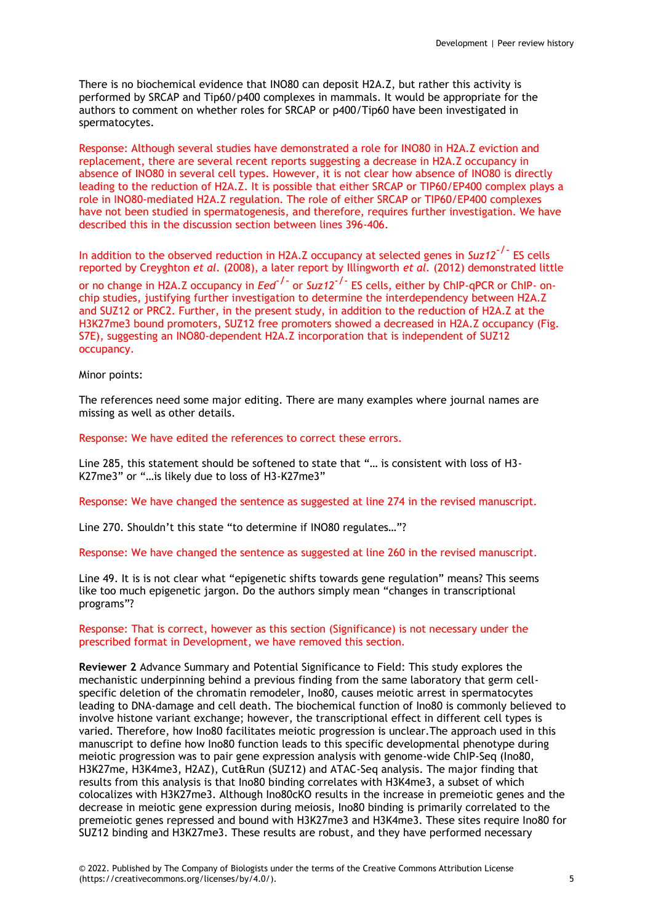There is no biochemical evidence that INO80 can deposit H2A.Z, but rather this activity is performed by SRCAP and Tip60/p400 complexes in mammals. It would be appropriate for the authors to comment on whether roles for SRCAP or p400/Tip60 have been investigated in spermatocytes.

Response: Although several studies have demonstrated a role for INO80 in H2A.Z eviction and replacement, there are several recent reports suggesting a decrease in H2A.Z occupancy in absence of INO80 in several cell types. However, it is not clear how absence of INO80 is directly leading to the reduction of H2A.Z. It is possible that either SRCAP or TIP60/EP400 complex plays a role in INO80-mediated H2A.Z regulation. The role of either SRCAP or TIP60/EP400 complexes have not been studied in spermatogenesis, and therefore, requires further investigation. We have described this in the discussion section between lines 396-406.

In addition to the observed reduction in H2A.Z occupancy at selected genes in Suz12<sup>-/-</sup> ES cells reported by Creyghton *et al.* (2008), a later report by Illingworth *et al.* (2012) demonstrated little or no change in H2A.Z occupancy in *Eed<sup>-/-</sup>* or Suz12<sup>-/-</sup> ES cells, either by ChIP-qPCR or ChIP- onchip studies, justifying further investigation to determine the interdependency between H2A.Z and SUZ12 or PRC2. Further, in the present study, in addition to the reduction of H2A.Z at the H3K27me3 bound promoters, SUZ12 free promoters showed a decreased in H2A.Z occupancy (Fig. S7E), suggesting an INO80-dependent H2A.Z incorporation that is independent of SUZ12 occupancy.

#### Minor points:

The references need some major editing. There are many examples where journal names are missing as well as other details.

Response: We have edited the references to correct these errors.

Line 285, this statement should be softened to state that "… is consistent with loss of H3- K27me3" or "…is likely due to loss of H3-K27me3"

Response: We have changed the sentence as suggested at line 274 in the revised manuscript.

Line 270. Shouldn't this state "to determine if INO80 regulates…"?

Response: We have changed the sentence as suggested at line 260 in the revised manuscript.

Line 49. It is is not clear what "epigenetic shifts towards gene regulation" means? This seems like too much epigenetic jargon. Do the authors simply mean "changes in transcriptional programs"?

### Response: That is correct, however as this section (Significance) is not necessary under the prescribed format in Development, we have removed this section.

**Reviewer 2** Advance Summary and Potential Significance to Field: This study explores the mechanistic underpinning behind a previous finding from the same laboratory that germ cellspecific deletion of the chromatin remodeler, Ino80, causes meiotic arrest in spermatocytes leading to DNA-damage and cell death. The biochemical function of Ino80 is commonly believed to involve histone variant exchange; however, the transcriptional effect in different cell types is varied. Therefore, how Ino80 facilitates meiotic progression is unclear.The approach used in this manuscript to define how Ino80 function leads to this specific developmental phenotype during meiotic progression was to pair gene expression analysis with genome-wide ChIP-Seq (Ino80, H3K27me, H3K4me3, H2AZ), Cut&Run (SUZ12) and ATAC-Seq analysis. The major finding that results from this analysis is that Ino80 binding correlates with H3K4me3, a subset of which colocalizes with H3K27me3. Although Ino80cKO results in the increase in premeiotic genes and the decrease in meiotic gene expression during meiosis, Ino80 binding is primarily correlated to the premeiotic genes repressed and bound with H3K27me3 and H3K4me3. These sites require Ino80 for SUZ12 binding and H3K27me3. These results are robust, and they have performed necessary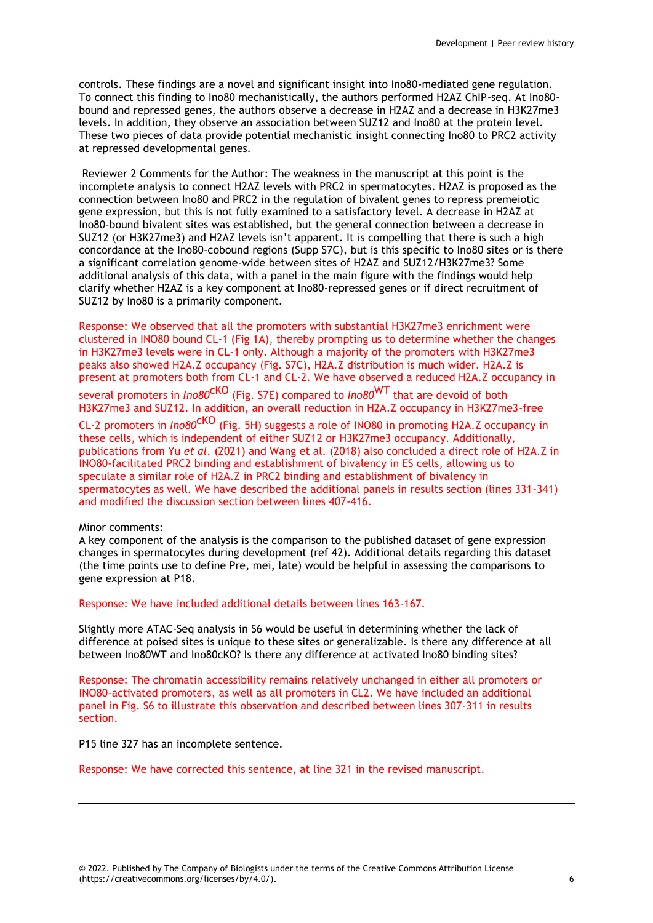controls. These findings are a novel and significant insight into Ino80-mediated gene regulation. To connect this finding to Ino80 mechanistically, the authors performed H2AZ ChIP-seq. At Ino80 bound and repressed genes, the authors observe a decrease in H2AZ and a decrease in H3K27me3 levels. In addition, they observe an association between SUZ12 and Ino80 at the protein level. These two pieces of data provide potential mechanistic insight connecting Ino80 to PRC2 activity at repressed developmental genes.

Reviewer 2 Comments for the Author: The weakness in the manuscript at this point is the incomplete analysis to connect H2AZ levels with PRC2 in spermatocytes. H2AZ is proposed as the connection between Ino80 and PRC2 in the regulation of bivalent genes to repress premeiotic gene expression, but this is not fully examined to a satisfactory level. A decrease in H2AZ at Ino80-bound bivalent sites was established, but the general connection between a decrease in SUZ12 (or H3K27me3) and H2AZ levels isn't apparent. It is compelling that there is such a high concordance at the Ino80-cobound regions (Supp S7C), but is this specific to Ino80 sites or is there a significant correlation genome-wide between sites of H2AZ and SUZ12/H3K27me3? Some additional analysis of this data, with a panel in the main figure with the findings would help clarify whether H2AZ is a key component at Ino80-repressed genes or if direct recruitment of SUZ12 by Ino80 is a primarily component.

Response: We observed that all the promoters with substantial H3K27me3 enrichment were clustered in INO80 bound CL-1 (Fig 1A), thereby prompting us to determine whether the changes in H3K27me3 levels were in CL-1 only. Although a majority of the promoters with H3K27me3 peaks also showed H2A.Z occupancy (Fig. S7C), H2A.Z distribution is much wider. H2A.Z is present at promoters both from CL-1 and CL-2. We have observed a reduced H2A.Z occupancy in several promoters in *Ino80<sup>CKO</sup>* (Fig. S7E) compared to *Ino80*<sup>WT</sup> that are devoid of both H3K27me3 and SUZ12. In addition, an overall reduction in H2A.Z occupancy in H3K27me3-free

CL-2 promoters in *Ino80*cKO (Fig. 5H) suggests a role of INO80 in promoting H2A.Z occupancy in these cells, which is independent of either SUZ12 or H3K27me3 occupancy. Additionally, publications from Yu *et al*. (2021) and Wang et al. (2018) also concluded a direct role of H2A.Z in INO80-facilitated PRC2 binding and establishment of bivalency in ES cells, allowing us to speculate a similar role of H2A.Z in PRC2 binding and establishment of bivalency in spermatocytes as well. We have described the additional panels in results section (lines 331-341)

### Minor comments:

A key component of the analysis is the comparison to the published dataset of gene expression changes in spermatocytes during development (ref 42). Additional details regarding this dataset (the time points use to define Pre, mei, late) would be helpful in assessing the comparisons to gene expression at P18.

Response: We have included additional details between lines 163-167.

and modified the discussion section between lines 407-416.

Slightly more ATAC-Seq analysis in S6 would be useful in determining whether the lack of difference at poised sites is unique to these sites or generalizable. Is there any difference at all between Ino80WT and Ino80cKO? Is there any difference at activated Ino80 binding sites?

Response: The chromatin accessibility remains relatively unchanged in either all promoters or INO80-activated promoters, as well as all promoters in CL2. We have included an additional panel in Fig. S6 to illustrate this observation and described between lines 307-311 in results section.

P15 line 327 has an incomplete sentence.

Response: We have corrected this sentence, at line 321 in the revised manuscript.